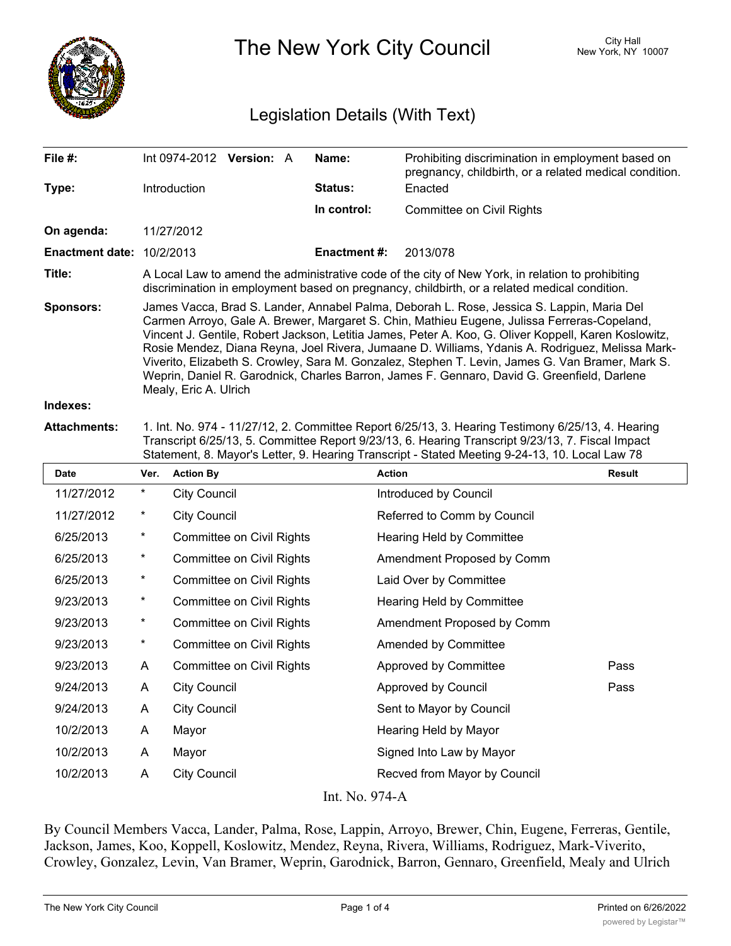

The New York City Council New York, NY 10007

## Legislation Details (With Text)

| File #:                                       | $Int 0974-2012$ Version: A                                                                                                                                                                                                                                                                                                                                                                                                                                                                                                                                                                                                      |  |  | Name:               | Prohibiting discrimination in employment based on<br>pregnancy, childbirth, or a related medical condition.                         |  |  |  |
|-----------------------------------------------|---------------------------------------------------------------------------------------------------------------------------------------------------------------------------------------------------------------------------------------------------------------------------------------------------------------------------------------------------------------------------------------------------------------------------------------------------------------------------------------------------------------------------------------------------------------------------------------------------------------------------------|--|--|---------------------|-------------------------------------------------------------------------------------------------------------------------------------|--|--|--|
| Type:                                         | <b>Introduction</b>                                                                                                                                                                                                                                                                                                                                                                                                                                                                                                                                                                                                             |  |  | <b>Status:</b>      | Enacted                                                                                                                             |  |  |  |
|                                               |                                                                                                                                                                                                                                                                                                                                                                                                                                                                                                                                                                                                                                 |  |  | In control:         | <b>Committee on Civil Rights</b>                                                                                                    |  |  |  |
| On agenda:                                    | 11/27/2012                                                                                                                                                                                                                                                                                                                                                                                                                                                                                                                                                                                                                      |  |  |                     |                                                                                                                                     |  |  |  |
| <b>Enactment date: <math>10/2/2013</math></b> |                                                                                                                                                                                                                                                                                                                                                                                                                                                                                                                                                                                                                                 |  |  | <b>Enactment #:</b> | 2013/078                                                                                                                            |  |  |  |
| Title:                                        | A Local Law to amend the administrative code of the city of New York, in relation to prohibiting<br>discrimination in employment based on pregnancy, childbirth, or a related medical condition.                                                                                                                                                                                                                                                                                                                                                                                                                                |  |  |                     |                                                                                                                                     |  |  |  |
| <b>Sponsors:</b>                              | James Vacca, Brad S. Lander, Annabel Palma, Deborah L. Rose, Jessica S. Lappin, Maria Del<br>Carmen Arroyo, Gale A. Brewer, Margaret S. Chin, Mathieu Eugene, Julissa Ferreras-Copeland,<br>Vincent J. Gentile, Robert Jackson, Letitia James, Peter A. Koo, G. Oliver Koppell, Karen Koslowitz,<br>Rosie Mendez, Diana Reyna, Joel Rivera, Jumaane D. Williams, Ydanis A. Rodriguez, Melissa Mark-<br>Viverito, Elizabeth S. Crowley, Sara M. Gonzalez, Stephen T. Levin, James G. Van Bramer, Mark S.<br>Weprin, Daniel R. Garodnick, Charles Barron, James F. Gennaro, David G. Greenfield, Darlene<br>Mealy, Eric A. Ulrich |  |  |                     |                                                                                                                                     |  |  |  |
| Indexes:                                      |                                                                                                                                                                                                                                                                                                                                                                                                                                                                                                                                                                                                                                 |  |  |                     |                                                                                                                                     |  |  |  |
| Aitaalamannta:                                |                                                                                                                                                                                                                                                                                                                                                                                                                                                                                                                                                                                                                                 |  |  |                     | $\overline{A}$ ist Ne. 074 $\overline{A}$ 14/07/40 0. Committee Denot C/05/40 0. Heaving Tectinoprov C/05/40 $\overline{A}$ Heaving |  |  |  |

**Attachments:** 1. Int. No. 974 - 11/27/12, 2. Committee Report 6/25/13, 3. Hearing Testimony 6/25/13, 4. Hearing Transcript 6/25/13, 5. Committee Report 9/23/13, 6. Hearing Transcript 9/23/13, 7. Fiscal Impact Statement, 8. Mayor's Letter, 9. Hearing Transcript - Stated Meeting 9-24-13, 10. Local Law 78

| <b>Date</b> | Ver.           | <b>Action By</b>                 | <b>Action</b>                    | <b>Result</b> |  |  |  |  |
|-------------|----------------|----------------------------------|----------------------------------|---------------|--|--|--|--|
| 11/27/2012  | $^\star$       | <b>City Council</b>              | Introduced by Council            |               |  |  |  |  |
| 11/27/2012  | $^\star$       | <b>City Council</b>              | Referred to Comm by Council      |               |  |  |  |  |
| 6/25/2013   | $^{\star}$     | <b>Committee on Civil Rights</b> | <b>Hearing Held by Committee</b> |               |  |  |  |  |
| 6/25/2013   | $^{\star}$     | <b>Committee on Civil Rights</b> | Amendment Proposed by Comm       |               |  |  |  |  |
| 6/25/2013   | $^\star$       | <b>Committee on Civil Rights</b> | Laid Over by Committee           |               |  |  |  |  |
| 9/23/2013   | $\star$        | <b>Committee on Civil Rights</b> | Hearing Held by Committee        |               |  |  |  |  |
| 9/23/2013   | $^\star$       | Committee on Civil Rights        | Amendment Proposed by Comm       |               |  |  |  |  |
| 9/23/2013   | $\star$        | <b>Committee on Civil Rights</b> | Amended by Committee             |               |  |  |  |  |
| 9/23/2013   | A              | Committee on Civil Rights        | Approved by Committee            | Pass          |  |  |  |  |
| 9/24/2013   | A              | <b>City Council</b>              | <b>Approved by Council</b>       | Pass          |  |  |  |  |
| 9/24/2013   | A              | <b>City Council</b>              | Sent to Mayor by Council         |               |  |  |  |  |
| 10/2/2013   | A              | Mayor                            | Hearing Held by Mayor            |               |  |  |  |  |
| 10/2/2013   | A              | Mayor                            | Signed Into Law by Mayor         |               |  |  |  |  |
| 10/2/2013   | A              | <b>City Council</b>              | Recved from Mayor by Council     |               |  |  |  |  |
|             | Int. No. 974-A |                                  |                                  |               |  |  |  |  |

By Council Members Vacca, Lander, Palma, Rose, Lappin, Arroyo, Brewer, Chin, Eugene, Ferreras, Gentile, Jackson, James, Koo, Koppell, Koslowitz, Mendez, Reyna, Rivera, Williams, Rodriguez, Mark-Viverito, Crowley, Gonzalez, Levin, Van Bramer, Weprin, Garodnick, Barron, Gennaro, Greenfield, Mealy and Ulrich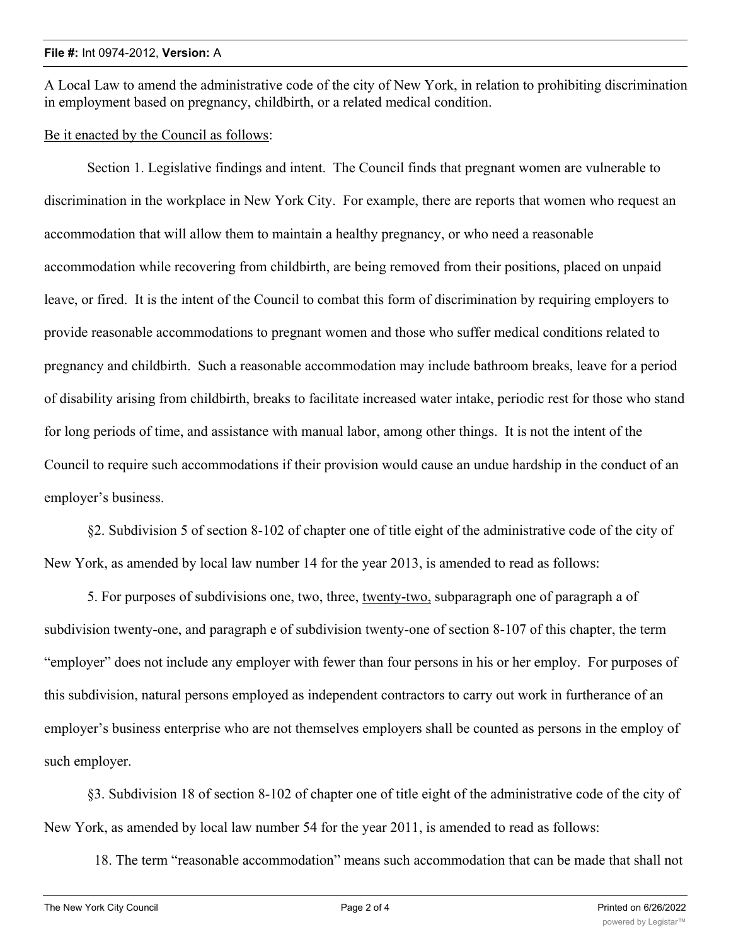A Local Law to amend the administrative code of the city of New York, in relation to prohibiting discrimination in employment based on pregnancy, childbirth, or a related medical condition.

Be it enacted by the Council as follows:

Section 1. Legislative findings and intent. The Council finds that pregnant women are vulnerable to discrimination in the workplace in New York City. For example, there are reports that women who request an accommodation that will allow them to maintain a healthy pregnancy, or who need a reasonable accommodation while recovering from childbirth, are being removed from their positions, placed on unpaid leave, or fired. It is the intent of the Council to combat this form of discrimination by requiring employers to provide reasonable accommodations to pregnant women and those who suffer medical conditions related to pregnancy and childbirth. Such a reasonable accommodation may include bathroom breaks, leave for a period of disability arising from childbirth, breaks to facilitate increased water intake, periodic rest for those who stand for long periods of time, and assistance with manual labor, among other things. It is not the intent of the Council to require such accommodations if their provision would cause an undue hardship in the conduct of an employer's business.

§2. Subdivision 5 of section 8-102 of chapter one of title eight of the administrative code of the city of New York, as amended by local law number 14 for the year 2013, is amended to read as follows:

5. For purposes of subdivisions one, two, three, twenty-two, subparagraph one of paragraph a of subdivision twenty-one, and paragraph e of subdivision twenty-one of section 8-107 of this chapter, the term "employer" does not include any employer with fewer than four persons in his or her employ. For purposes of this subdivision, natural persons employed as independent contractors to carry out work in furtherance of an employer's business enterprise who are not themselves employers shall be counted as persons in the employ of such employer.

§3. Subdivision 18 of section 8-102 of chapter one of title eight of the administrative code of the city of New York, as amended by local law number 54 for the year 2011, is amended to read as follows:

18. The term "reasonable accommodation" means such accommodation that can be made that shall not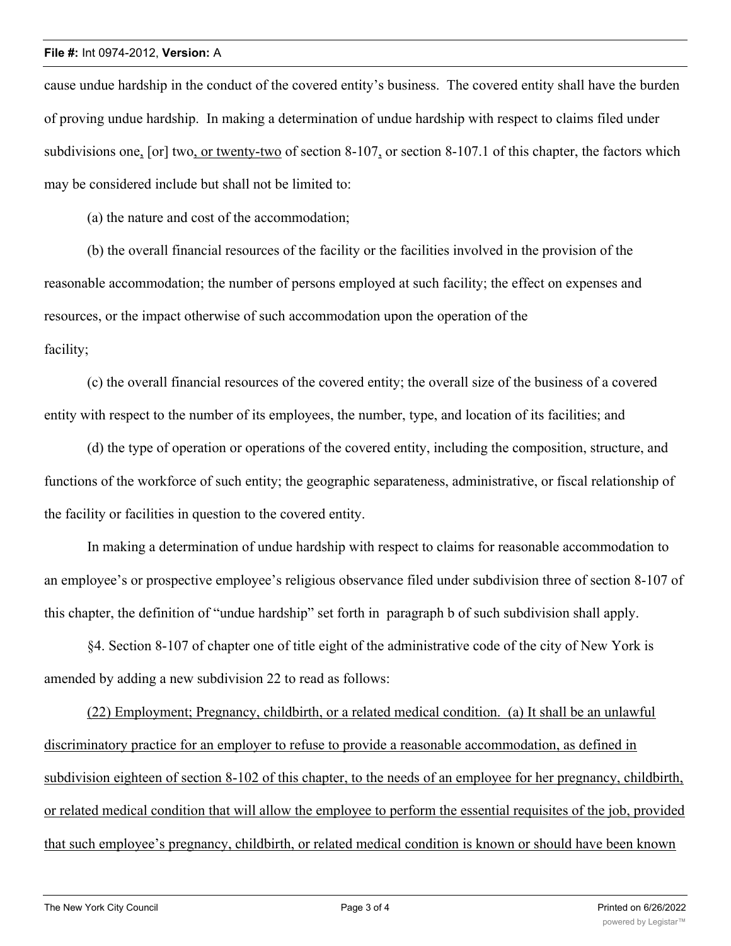## **File #:** Int 0974-2012, **Version:** A

cause undue hardship in the conduct of the covered entity's business. The covered entity shall have the burden of proving undue hardship. In making a determination of undue hardship with respect to claims filed under subdivisions one, [or] two, or twenty-two of section 8-107, or section 8-107.1 of this chapter, the factors which may be considered include but shall not be limited to:

(a) the nature and cost of the accommodation;

(b) the overall financial resources of the facility or the facilities involved in the provision of the reasonable accommodation; the number of persons employed at such facility; the effect on expenses and resources, or the impact otherwise of such accommodation upon the operation of the facility;

(c) the overall financial resources of the covered entity; the overall size of the business of a covered entity with respect to the number of its employees, the number, type, and location of its facilities; and

(d) the type of operation or operations of the covered entity, including the composition, structure, and functions of the workforce of such entity; the geographic separateness, administrative, or fiscal relationship of the facility or facilities in question to the covered entity.

In making a determination of undue hardship with respect to claims for reasonable accommodation to an employee's or prospective employee's religious observance filed under subdivision three of section 8-107 of this chapter, the definition of "undue hardship" set forth in paragraph b of such subdivision shall apply.

§4. Section 8-107 of chapter one of title eight of the administrative code of the city of New York is amended by adding a new subdivision 22 to read as follows:

(22) Employment; Pregnancy, childbirth, or a related medical condition. (a) It shall be an unlawful discriminatory practice for an employer to refuse to provide a reasonable accommodation, as defined in subdivision eighteen of section 8-102 of this chapter, to the needs of an employee for her pregnancy, childbirth, or related medical condition that will allow the employee to perform the essential requisites of the job, provided that such employee's pregnancy, childbirth, or related medical condition is known or should have been known